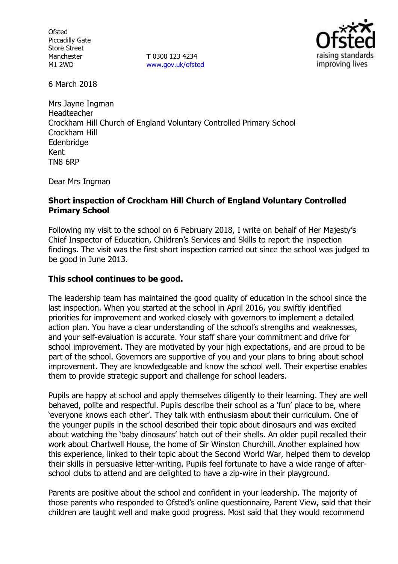**Ofsted** Piccadilly Gate Store Street Manchester M1 2WD

**T** 0300 123 4234 www.gov.uk/ofsted



6 March 2018

Mrs Jayne Ingman Headteacher Crockham Hill Church of England Voluntary Controlled Primary School Crockham Hill Edenbridge Kent TN8 6RP

Dear Mrs Ingman

#### **Short inspection of Crockham Hill Church of England Voluntary Controlled Primary School**

Following my visit to the school on 6 February 2018, I write on behalf of Her Majesty's Chief Inspector of Education, Children's Services and Skills to report the inspection findings. The visit was the first short inspection carried out since the school was judged to be good in June 2013.

## **This school continues to be good.**

The leadership team has maintained the good quality of education in the school since the last inspection. When you started at the school in April 2016, you swiftly identified priorities for improvement and worked closely with governors to implement a detailed action plan. You have a clear understanding of the school's strengths and weaknesses, and your self-evaluation is accurate. Your staff share your commitment and drive for school improvement. They are motivated by your high expectations, and are proud to be part of the school. Governors are supportive of you and your plans to bring about school improvement. They are knowledgeable and know the school well. Their expertise enables them to provide strategic support and challenge for school leaders.

Pupils are happy at school and apply themselves diligently to their learning. They are well behaved, polite and respectful. Pupils describe their school as a 'fun' place to be, where 'everyone knows each other'. They talk with enthusiasm about their curriculum. One of the younger pupils in the school described their topic about dinosaurs and was excited about watching the 'baby dinosaurs' hatch out of their shells. An older pupil recalled their work about Chartwell House, the home of Sir Winston Churchill. Another explained how this experience, linked to their topic about the Second World War, helped them to develop their skills in persuasive letter-writing. Pupils feel fortunate to have a wide range of afterschool clubs to attend and are delighted to have a zip-wire in their playground.

Parents are positive about the school and confident in your leadership. The majority of those parents who responded to Ofsted's online questionnaire, Parent View, said that their children are taught well and make good progress. Most said that they would recommend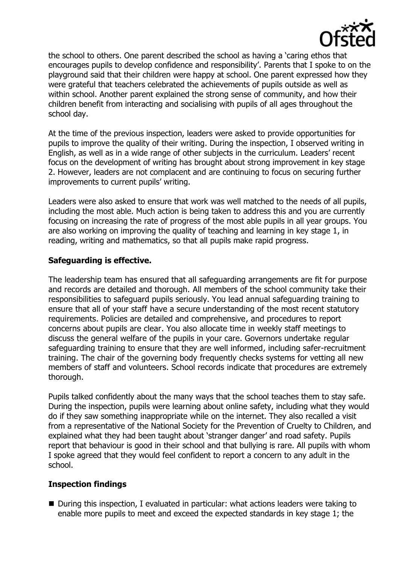

the school to others. One parent described the school as having a 'caring ethos that encourages pupils to develop confidence and responsibility'. Parents that I spoke to on the playground said that their children were happy at school. One parent expressed how they were grateful that teachers celebrated the achievements of pupils outside as well as within school. Another parent explained the strong sense of community, and how their children benefit from interacting and socialising with pupils of all ages throughout the school day.

At the time of the previous inspection, leaders were asked to provide opportunities for pupils to improve the quality of their writing. During the inspection, I observed writing in English, as well as in a wide range of other subjects in the curriculum. Leaders' recent focus on the development of writing has brought about strong improvement in key stage 2. However, leaders are not complacent and are continuing to focus on securing further improvements to current pupils' writing.

Leaders were also asked to ensure that work was well matched to the needs of all pupils, including the most able. Much action is being taken to address this and you are currently focusing on increasing the rate of progress of the most able pupils in all year groups. You are also working on improving the quality of teaching and learning in key stage 1, in reading, writing and mathematics, so that all pupils make rapid progress.

## **Safeguarding is effective.**

The leadership team has ensured that all safeguarding arrangements are fit for purpose and records are detailed and thorough. All members of the school community take their responsibilities to safeguard pupils seriously. You lead annual safeguarding training to ensure that all of your staff have a secure understanding of the most recent statutory requirements. Policies are detailed and comprehensive, and procedures to report concerns about pupils are clear. You also allocate time in weekly staff meetings to discuss the general welfare of the pupils in your care. Governors undertake regular safeguarding training to ensure that they are well informed, including safer-recruitment training. The chair of the governing body frequently checks systems for vetting all new members of staff and volunteers. School records indicate that procedures are extremely thorough.

Pupils talked confidently about the many ways that the school teaches them to stay safe. During the inspection, pupils were learning about online safety, including what they would do if they saw something inappropriate while on the internet. They also recalled a visit from a representative of the National Society for the Prevention of Cruelty to Children, and explained what they had been taught about 'stranger danger' and road safety. Pupils report that behaviour is good in their school and that bullying is rare. All pupils with whom I spoke agreed that they would feel confident to report a concern to any adult in the school.

# **Inspection findings**

■ During this inspection, I evaluated in particular: what actions leaders were taking to enable more pupils to meet and exceed the expected standards in key stage 1; the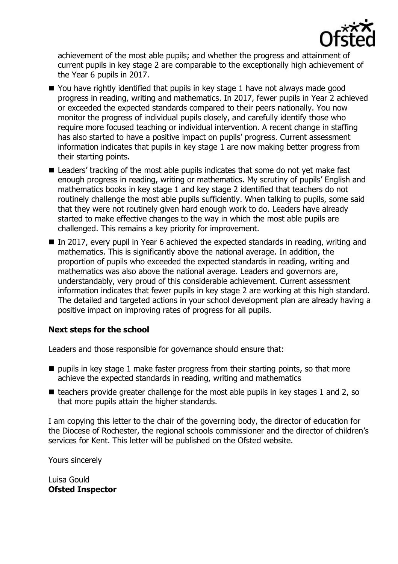

achievement of the most able pupils; and whether the progress and attainment of current pupils in key stage 2 are comparable to the exceptionally high achievement of the Year 6 pupils in 2017.

- $\blacksquare$  You have rightly identified that pupils in key stage 1 have not always made good progress in reading, writing and mathematics. In 2017, fewer pupils in Year 2 achieved or exceeded the expected standards compared to their peers nationally. You now monitor the progress of individual pupils closely, and carefully identify those who require more focused teaching or individual intervention. A recent change in staffing has also started to have a positive impact on pupils' progress. Current assessment information indicates that pupils in key stage 1 are now making better progress from their starting points.
- Leaders' tracking of the most able pupils indicates that some do not yet make fast enough progress in reading, writing or mathematics. My scrutiny of pupils' English and mathematics books in key stage 1 and key stage 2 identified that teachers do not routinely challenge the most able pupils sufficiently. When talking to pupils, some said that they were not routinely given hard enough work to do. Leaders have already started to make effective changes to the way in which the most able pupils are challenged. This remains a key priority for improvement.
- In 2017, every pupil in Year 6 achieved the expected standards in reading, writing and mathematics. This is significantly above the national average. In addition, the proportion of pupils who exceeded the expected standards in reading, writing and mathematics was also above the national average. Leaders and governors are, understandably, very proud of this considerable achievement. Current assessment information indicates that fewer pupils in key stage 2 are working at this high standard. The detailed and targeted actions in your school development plan are already having a positive impact on improving rates of progress for all pupils.

# **Next steps for the school**

Leaders and those responsible for governance should ensure that:

- $\blacksquare$  pupils in key stage 1 make faster progress from their starting points, so that more achieve the expected standards in reading, writing and mathematics
- $\blacksquare$  teachers provide greater challenge for the most able pupils in key stages 1 and 2, so that more pupils attain the higher standards.

I am copying this letter to the chair of the governing body, the director of education for the Diocese of Rochester, the regional schools commissioner and the director of children's services for Kent. This letter will be published on the Ofsted website.

Yours sincerely

Luisa Gould **Ofsted Inspector**